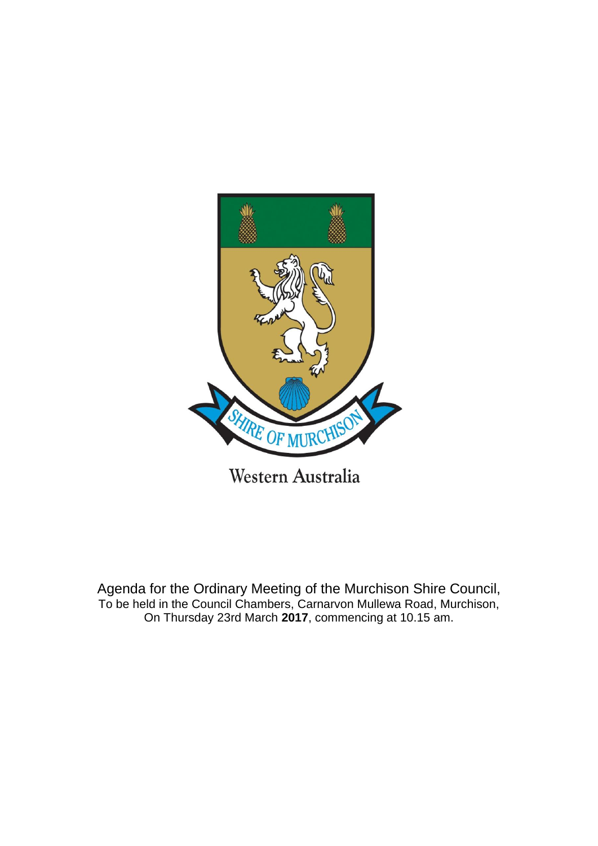

Agenda for the Ordinary Meeting of the Murchison Shire Council, To be held in the Council Chambers, Carnarvon Mullewa Road, Murchison, On Thursday 23rd March **2017**, commencing at 10.15 am.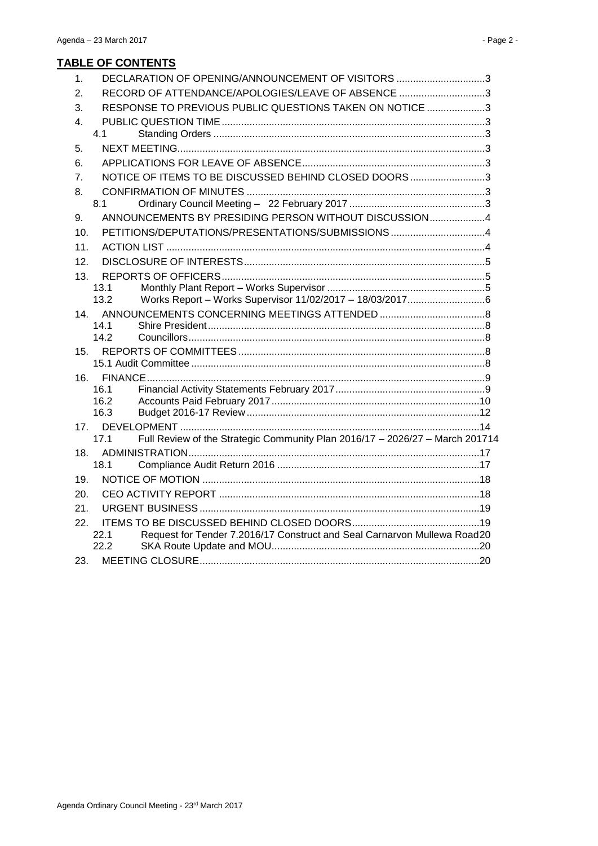| 1.              | DECLARATION OF OPENING/ANNOUNCEMENT OF VISITORS 3                                    |  |
|-----------------|--------------------------------------------------------------------------------------|--|
| 2.              | RECORD OF ATTENDANCE/APOLOGIES/LEAVE OF ABSENCE 3                                    |  |
| 3.              | RESPONSE TO PREVIOUS PUBLIC QUESTIONS TAKEN ON NOTICE 3                              |  |
| 4.              |                                                                                      |  |
|                 | 41                                                                                   |  |
| 5.              |                                                                                      |  |
| 6.              |                                                                                      |  |
| 7.              | NOTICE OF ITEMS TO BE DISCUSSED BEHIND CLOSED DOORS3                                 |  |
| 8.              |                                                                                      |  |
|                 | 8.1                                                                                  |  |
| 9.              | ANNOUNCEMENTS BY PRESIDING PERSON WITHOUT DISCUSSION4                                |  |
| 10.             | PETITIONS/DEPUTATIONS/PRESENTATIONS/SUBMISSIONS 4                                    |  |
| 11.             |                                                                                      |  |
| 12.             |                                                                                      |  |
| 13.             |                                                                                      |  |
|                 | 13.1                                                                                 |  |
|                 | 13.2                                                                                 |  |
| 14.             |                                                                                      |  |
|                 | 14.1                                                                                 |  |
|                 | 14.2                                                                                 |  |
| 15.             |                                                                                      |  |
|                 |                                                                                      |  |
| 16.             | 16.1                                                                                 |  |
|                 | 16.2                                                                                 |  |
|                 | 16.3                                                                                 |  |
| 17 <sub>1</sub> |                                                                                      |  |
|                 | Full Review of the Strategic Community Plan 2016/17 - 2026/27 - March 201714<br>17.1 |  |
| 18.             |                                                                                      |  |
|                 | 18.1                                                                                 |  |
| 19.             |                                                                                      |  |
| 20.             |                                                                                      |  |
| 21.             |                                                                                      |  |
| 22.             |                                                                                      |  |
|                 | Request for Tender 7.2016/17 Construct and Seal Carnarvon Mullewa Road20<br>22.1     |  |
|                 | 22.2                                                                                 |  |
| 23.             |                                                                                      |  |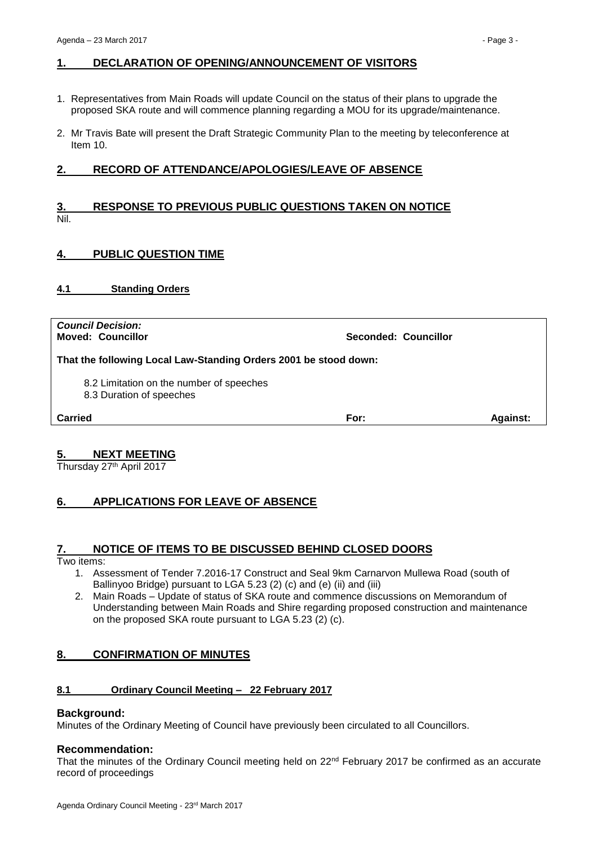# <span id="page-2-0"></span>**1. DECLARATION OF OPENING/ANNOUNCEMENT OF VISITORS**

- 1. Representatives from Main Roads will update Council on the status of their plans to upgrade the proposed SKA route and will commence planning regarding a MOU for its upgrade/maintenance.
- 2. Mr Travis Bate will present the Draft Strategic Community Plan to the meeting by teleconference at Item 10.

# <span id="page-2-1"></span>**2. RECORD OF ATTENDANCE/APOLOGIES/LEAVE OF ABSENCE**

## <span id="page-2-2"></span>**3. RESPONSE TO PREVIOUS PUBLIC QUESTIONS TAKEN ON NOTICE** Nil.

# <span id="page-2-3"></span>**4. PUBLIC QUESTION TIME**

## <span id="page-2-4"></span>**4.1 Standing Orders**

*Council Decision:*

**Moved: Councillor Seconded: Councillor**

**That the following Local Law-Standing Orders 2001 be stood down:**

8.2 Limitation on the number of speeches

8.3 Duration of speeches

**Carried For: Against:**

## <span id="page-2-5"></span>**5. NEXT MEETING**

Thursday 27<sup>th</sup> April 2017

# <span id="page-2-6"></span>**6. APPLICATIONS FOR LEAVE OF ABSENCE**

## <span id="page-2-7"></span>**7. NOTICE OF ITEMS TO BE DISCUSSED BEHIND CLOSED DOORS**

Two items:

- 1. Assessment of Tender 7.2016-17 Construct and Seal 9km Carnarvon Mullewa Road (south of Ballinyoo Bridge) pursuant to LGA 5.23 (2) (c) and (e) (ii) and (iii)
- 2. Main Roads Update of status of SKA route and commence discussions on Memorandum of Understanding between Main Roads and Shire regarding proposed construction and maintenance on the proposed SKA route pursuant to LGA 5.23 (2) (c).

## <span id="page-2-8"></span>**8. CONFIRMATION OF MINUTES**

## <span id="page-2-9"></span>**8.1 Ordinary Council Meeting – 22 February 2017**

## **Background:**

Minutes of the Ordinary Meeting of Council have previously been circulated to all Councillors.

## **Recommendation:**

That the minutes of the Ordinary Council meeting held on  $22<sup>nd</sup>$  February 2017 be confirmed as an accurate record of proceedings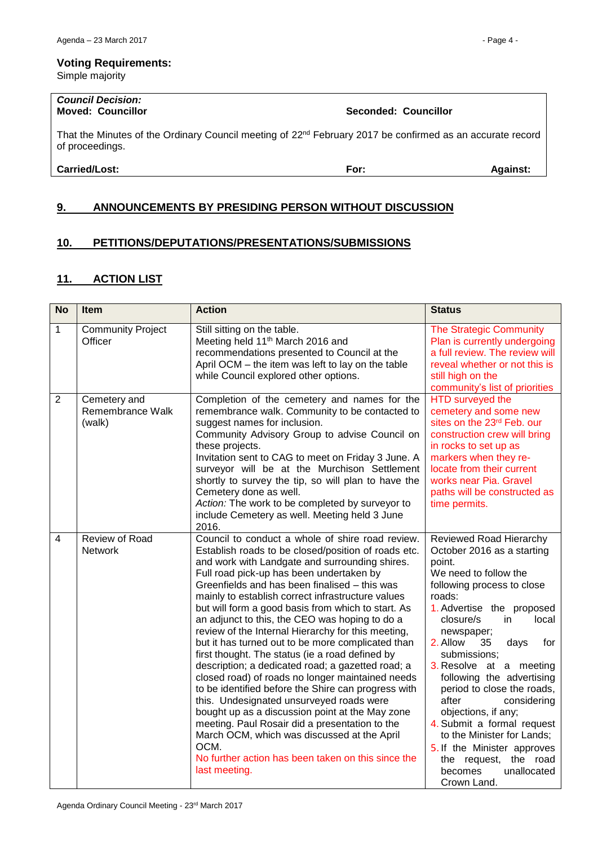#### **Voting Requirements:**

Simple majority

# *Council Decision:*

That the Minutes of the Ordinary Council meeting of 22<sup>nd</sup> February 2017 be confirmed as an accurate record of proceedings.

## **Carried/Lost: For: Against:**

# <span id="page-3-0"></span>**9. ANNOUNCEMENTS BY PRESIDING PERSON WITHOUT DISCUSSION**

# <span id="page-3-1"></span>**10. PETITIONS/DEPUTATIONS/PRESENTATIONS/SUBMISSIONS**

## <span id="page-3-2"></span>**11. ACTION LIST**

| <b>No</b>      | Item                                       | <b>Action</b>                                                                                                                                                                                                                                                                                                                                                                                                                                                                                                                                                                                                                                                                                                                                                                                                                                                                                                                                                                                                                    | <b>Status</b>                                                                                                                                                                                                                                                                                                                                                                                                                                                                                                                                              |
|----------------|--------------------------------------------|----------------------------------------------------------------------------------------------------------------------------------------------------------------------------------------------------------------------------------------------------------------------------------------------------------------------------------------------------------------------------------------------------------------------------------------------------------------------------------------------------------------------------------------------------------------------------------------------------------------------------------------------------------------------------------------------------------------------------------------------------------------------------------------------------------------------------------------------------------------------------------------------------------------------------------------------------------------------------------------------------------------------------------|------------------------------------------------------------------------------------------------------------------------------------------------------------------------------------------------------------------------------------------------------------------------------------------------------------------------------------------------------------------------------------------------------------------------------------------------------------------------------------------------------------------------------------------------------------|
| 1              | <b>Community Project</b><br>Officer        | Still sitting on the table.<br>Meeting held 11 <sup>th</sup> March 2016 and<br>recommendations presented to Council at the<br>April OCM - the item was left to lay on the table<br>while Council explored other options.                                                                                                                                                                                                                                                                                                                                                                                                                                                                                                                                                                                                                                                                                                                                                                                                         | <b>The Strategic Community</b><br>Plan is currently undergoing<br>a full review. The review will<br>reveal whether or not this is<br>still high on the<br>community's list of priorities                                                                                                                                                                                                                                                                                                                                                                   |
| $\overline{2}$ | Cemetery and<br>Remembrance Walk<br>(walk) | Completion of the cemetery and names for the<br>remembrance walk. Community to be contacted to<br>suggest names for inclusion.<br>Community Advisory Group to advise Council on<br>these projects.<br>Invitation sent to CAG to meet on Friday 3 June. A<br>surveyor will be at the Murchison Settlement<br>shortly to survey the tip, so will plan to have the<br>Cemetery done as well.<br>Action: The work to be completed by surveyor to<br>include Cemetery as well. Meeting held 3 June<br>2016.                                                                                                                                                                                                                                                                                                                                                                                                                                                                                                                           | <b>HTD</b> surveyed the<br>cemetery and some new<br>sites on the 23rd Feb. our<br>construction crew will bring<br>in rocks to set up as<br>markers when they re-<br>locate from their current<br>works near Pia. Gravel<br>paths will be constructed as<br>time permits.                                                                                                                                                                                                                                                                                   |
| $\overline{4}$ | Review of Road<br>Network                  | Council to conduct a whole of shire road review.<br>Establish roads to be closed/position of roads etc.<br>and work with Landgate and surrounding shires.<br>Full road pick-up has been undertaken by<br>Greenfields and has been finalised - this was<br>mainly to establish correct infrastructure values<br>but will form a good basis from which to start. As<br>an adjunct to this, the CEO was hoping to do a<br>review of the Internal Hierarchy for this meeting,<br>but it has turned out to be more complicated than<br>first thought. The status (ie a road defined by<br>description; a dedicated road; a gazetted road; a<br>closed road) of roads no longer maintained needs<br>to be identified before the Shire can progress with<br>this. Undesignated unsurveyed roads were<br>bought up as a discussion point at the May zone<br>meeting. Paul Rosair did a presentation to the<br>March OCM, which was discussed at the April<br>OCM.<br>No further action has been taken on this since the<br>last meeting. | Reviewed Road Hierarchy<br>October 2016 as a starting<br>point.<br>We need to follow the<br>following process to close<br>roads:<br>1. Advertise the proposed<br>local<br>closure/s<br>in<br>newspaper;<br>2. Allow<br>35<br>for<br>days<br>submissions;<br>3. Resolve at a meeting<br>following the advertising<br>period to close the roads,<br>after<br>considering<br>objections, if any;<br>4. Submit a formal request<br>to the Minister for Lands;<br>5. If the Minister approves<br>the request, the road<br>unallocated<br>becomes<br>Crown Land. |

**Moved: Councillor Seconded: Councillor**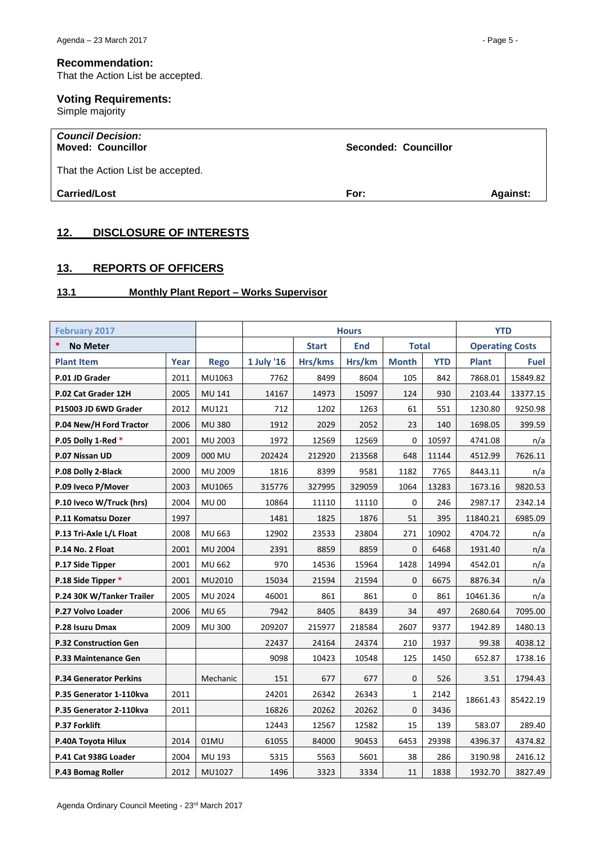## **Recommendation:**

That the Action List be accepted.

## **Voting Requirements:**

Simple majority

#### *Council Decision:* **Moved: Councillor Seconded: Councillor**

That the Action List be accepted.

**Carried/Lost For: Against:**

## <span id="page-4-0"></span>**12. DISCLOSURE OF INTERESTS**

# <span id="page-4-1"></span>**13. REPORTS OF OFFICERS**

## <span id="page-4-2"></span>**13.1 Monthly Plant Report – Works Supervisor**

| <b>February 2017</b>          |      |                | <b>Hours</b> |              |            |              | <b>YTD</b> |                        |             |
|-------------------------------|------|----------------|--------------|--------------|------------|--------------|------------|------------------------|-------------|
| *<br><b>No Meter</b>          |      |                |              | <b>Start</b> | <b>End</b> | <b>Total</b> |            | <b>Operating Costs</b> |             |
| <b>Plant Item</b>             | Year | <b>Rego</b>    | 1 July '16   | Hrs/kms      | Hrs/km     | <b>Month</b> | <b>YTD</b> | <b>Plant</b>           | <b>Fuel</b> |
| P.01 JD Grader                | 2011 | MU1063         | 7762         | 8499         | 8604       | 105          | 842        | 7868.01                | 15849.82    |
| P.02 Cat Grader 12H           | 2005 | MU 141         | 14167        | 14973        | 15097      | 124          | 930        | 2103.44                | 13377.15    |
| P15003 JD 6WD Grader          | 2012 | MU121          | 712          | 1202         | 1263       | 61           | 551        | 1230.80                | 9250.98     |
| P.04 New/H Ford Tractor       | 2006 | <b>MU380</b>   | 1912         | 2029         | 2052       | 23           | 140        | 1698.05                | 399.59      |
| P.05 Dolly 1-Red *            | 2001 | MU 2003        | 1972         | 12569        | 12569      | $\mathbf 0$  | 10597      | 4741.08                | n/a         |
| P.07 Nissan UD                | 2009 | 000 MU         | 202424       | 212920       | 213568     | 648          | 11144      | 4512.99                | 7626.11     |
| P.08 Dolly 2-Black            | 2000 | MU 2009        | 1816         | 8399         | 9581       | 1182         | 7765       | 8443.11                | n/a         |
| P.09 Iveco P/Mover            | 2003 | MU1065         | 315776       | 327995       | 329059     | 1064         | 13283      | 1673.16                | 9820.53     |
| P.10 Iveco W/Truck (hrs)      | 2004 | <b>MU00</b>    | 10864        | 11110        | 11110      | $\Omega$     | 246        | 2987.17                | 2342.14     |
| P.11 Komatsu Dozer            | 1997 |                | 1481         | 1825         | 1876       | 51           | 395        | 11840.21               | 6985.09     |
| P.13 Tri-Axle L/L Float       | 2008 | MU 663         | 12902        | 23533        | 23804      | 271          | 10902      | 4704.72                | n/a         |
| P.14 No. 2 Float              | 2001 | <b>MU 2004</b> | 2391         | 8859         | 8859       | $\mathbf{0}$ | 6468       | 1931.40                | n/a         |
| P.17 Side Tipper              | 2001 | MU 662         | 970          | 14536        | 15964      | 1428         | 14994      | 4542.01                | n/a         |
| P.18 Side Tipper *            | 2001 | MU2010         | 15034        | 21594        | 21594      | $\mathbf{0}$ | 6675       | 8876.34                | n/a         |
| P.24 30K W/Tanker Trailer     | 2005 | MU 2024        | 46001        | 861          | 861        | 0            | 861        | 10461.36               | n/a         |
| P.27 Volvo Loader             | 2006 | <b>MU 65</b>   | 7942         | 8405         | 8439       | 34           | 497        | 2680.64                | 7095.00     |
| P.28 Isuzu Dmax               | 2009 | <b>MU300</b>   | 209207       | 215977       | 218584     | 2607         | 9377       | 1942.89                | 1480.13     |
| <b>P.32 Construction Gen</b>  |      |                | 22437        | 24164        | 24374      | 210          | 1937       | 99.38                  | 4038.12     |
| P.33 Maintenance Gen          |      |                | 9098         | 10423        | 10548      | 125          | 1450       | 652.87                 | 1738.16     |
| <b>P.34 Generator Perkins</b> |      | Mechanic       | 151          | 677          | 677        | 0            | 526        | 3.51                   | 1794.43     |
| P.35 Generator 1-110kva       | 2011 |                | 24201        | 26342        | 26343      | 1            | 2142       | 18661.43               | 85422.19    |
| P.35 Generator 2-110kva       | 2011 |                | 16826        | 20262        | 20262      | $\mathbf 0$  | 3436       |                        |             |
| P.37 Forklift                 |      |                | 12443        | 12567        | 12582      | 15           | 139        | 583.07                 | 289.40      |
| P.40A Toyota Hilux            | 2014 | 01MU           | 61055        | 84000        | 90453      | 6453         | 29398      | 4396.37                | 4374.82     |
| P.41 Cat 938G Loader          | 2004 | MU 193         | 5315         | 5563         | 5601       | 38           | 286        | 3190.98                | 2416.12     |
| P.43 Bomag Roller             | 2012 | MU1027         | 1496         | 3323         | 3334       | 11           | 1838       | 1932.70                | 3827.49     |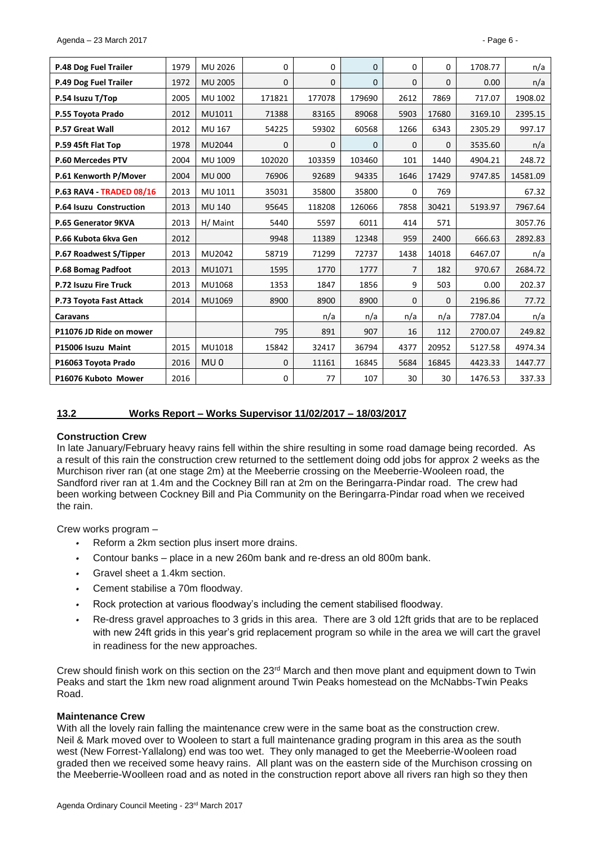| P.48 Dog Fuel Trailer           | 1979 | MU 2026         | 0      | 0      | $\Omega$     | $\Omega$       | $\Omega$     | 1708.77 | n/a      |
|---------------------------------|------|-----------------|--------|--------|--------------|----------------|--------------|---------|----------|
| P.49 Dog Fuel Trailer           | 1972 | <b>MU 2005</b>  | 0      | 0      | $\mathbf{0}$ | $\mathbf{0}$   | $\mathbf{0}$ | 0.00    | n/a      |
| P.54 Isuzu T/Top                | 2005 | MU 1002         | 171821 | 177078 | 179690       | 2612           | 7869         | 717.07  | 1908.02  |
| P.55 Toyota Prado               | 2012 | MU1011          | 71388  | 83165  | 89068        | 5903           | 17680        | 3169.10 | 2395.15  |
| <b>P.57 Great Wall</b>          | 2012 | MU 167          | 54225  | 59302  | 60568        | 1266           | 6343         | 2305.29 | 997.17   |
| P.59 45ft Flat Top              | 1978 | MU2044          | 0      | 0      | $\mathbf{0}$ | $\mathbf{0}$   | $\mathbf{0}$ | 3535.60 | n/a      |
| P.60 Mercedes PTV               | 2004 | MU 1009         | 102020 | 103359 | 103460       | 101            | 1440         | 4904.21 | 248.72   |
| P.61 Kenworth P/Mover           | 2004 | <b>MU 000</b>   | 76906  | 92689  | 94335        | 1646           | 17429        | 9747.85 | 14581.09 |
| <b>P.63 RAV4 - TRADED 08/16</b> | 2013 | MU 1011         | 35031  | 35800  | 35800        | 0              | 769          |         | 67.32    |
| P.64 Isuzu Construction         | 2013 | <b>MU 140</b>   | 95645  | 118208 | 126066       | 7858           | 30421        | 5193.97 | 7967.64  |
| P.65 Generator 9KVA             | 2013 | H/ Maint        | 5440   | 5597   | 6011         | 414            | 571          |         | 3057.76  |
| P.66 Kubota 6kva Gen            | 2012 |                 | 9948   | 11389  | 12348        | 959            | 2400         | 666.63  | 2892.83  |
| P.67 Roadwest S/Tipper          | 2013 | MU2042          | 58719  | 71299  | 72737        | 1438           | 14018        | 6467.07 | n/a      |
| P.68 Bomag Padfoot              | 2013 | MU1071          | 1595   | 1770   | 1777         | $\overline{7}$ | 182          | 970.67  | 2684.72  |
| P.72 Isuzu Fire Truck           | 2013 | MU1068          | 1353   | 1847   | 1856         | 9              | 503          | 0.00    | 202.37   |
| P.73 Toyota Fast Attack         | 2014 | MU1069          | 8900   | 8900   | 8900         | $\Omega$       | $\Omega$     | 2196.86 | 77.72    |
| <b>Caravans</b>                 |      |                 |        | n/a    | n/a          | n/a            | n/a          | 7787.04 | n/a      |
| P11076 JD Ride on mower         |      |                 | 795    | 891    | 907          | 16             | 112          | 2700.07 | 249.82   |
| P15006 Isuzu Maint              | 2015 | MU1018          | 15842  | 32417  | 36794        | 4377           | 20952        | 5127.58 | 4974.34  |
| P16063 Toyota Prado             | 2016 | MU <sub>0</sub> | 0      | 11161  | 16845        | 5684           | 16845        | 4423.33 | 1447.77  |
| P16076 Kuboto Mower             | 2016 |                 | 0      | 77     | 107          | 30             | 30           | 1476.53 | 337.33   |

#### <span id="page-5-0"></span>**13.2 Works Report – Works Supervisor 11/02/2017 – 18/03/2017**

#### **Construction Crew**

In late January/February heavy rains fell within the shire resulting in some road damage being recorded. As a result of this rain the construction crew returned to the settlement doing odd jobs for approx 2 weeks as the Murchison river ran (at one stage 2m) at the Meeberrie crossing on the Meeberrie-Wooleen road, the Sandford river ran at 1.4m and the Cockney Bill ran at 2m on the Beringarra-Pindar road. The crew had been working between Cockney Bill and Pia Community on the Beringarra-Pindar road when we received the rain.

Crew works program –

- *•* Reform a 2km section plus insert more drains.
- *•* Contour banks place in a new 260m bank and re-dress an old 800m bank.
- *•* Gravel sheet a 1.4km section.
- *•* Cement stabilise a 70m floodway.
- *•* Rock protection at various floodway's including the cement stabilised floodway.
- *•* Re-dress gravel approaches to 3 grids in this area. There are 3 old 12ft grids that are to be replaced with new 24ft grids in this year's grid replacement program so while in the area we will cart the gravel in readiness for the new approaches.

Crew should finish work on this section on the  $23<sup>rd</sup>$  March and then move plant and equipment down to Twin Peaks and start the 1km new road alignment around Twin Peaks homestead on the McNabbs-Twin Peaks Road.

#### **Maintenance Crew**

With all the lovely rain falling the maintenance crew were in the same boat as the construction crew. Neil & Mark moved over to Wooleen to start a full maintenance grading program in this area as the south west (New Forrest-Yallalong) end was too wet. They only managed to get the Meeberrie-Wooleen road graded then we received some heavy rains. All plant was on the eastern side of the Murchison crossing on the Meeberrie-Woolleen road and as noted in the construction report above all rivers ran high so they then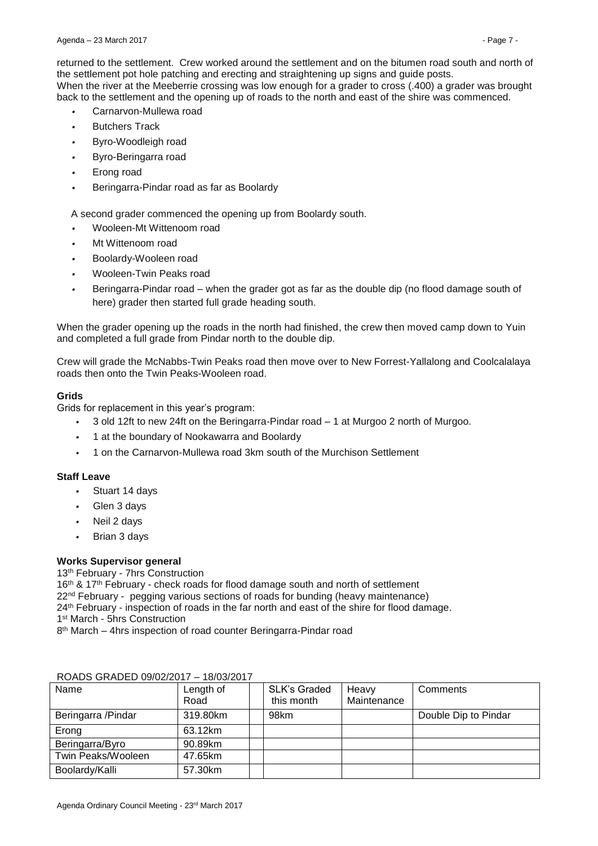returned to the settlement. Crew worked around the settlement and on the bitumen road south and north of the settlement pot hole patching and erecting and straightening up signs and guide posts. When the river at the Meeberrie crossing was low enough for a grader to cross (.400) a grader was brought back to the settlement and the opening up of roads to the north and east of the shire was commenced.

- *•* Carnarvon-Mullewa road
- *•* Butchers Track
- *•* Byro-Woodleigh road
- *•* Byro-Beringarra road
- *•* Erong road
- *•* Beringarra-Pindar road as far as Boolardy

A second grader commenced the opening up from Boolardy south.

- *•* Wooleen-Mt Wittenoom road
- *•* Mt Wittenoom road
- *•* Boolardy-Wooleen road
- *•* Wooleen-Twin Peaks road
- *•* Beringarra-Pindar road when the grader got as far as the double dip (no flood damage south of here) grader then started full grade heading south.

When the grader opening up the roads in the north had finished, the crew then moved camp down to Yuin and completed a full grade from Pindar north to the double dip.

Crew will grade the McNabbs-Twin Peaks road then move over to New Forrest-Yallalong and Coolcalalaya roads then onto the Twin Peaks-Wooleen road.

## **Grids**

Grids for replacement in this year's program:

- *•* 3 old 12ft to new 24ft on the Beringarra-Pindar road 1 at Murgoo 2 north of Murgoo.
- *•* 1 at the boundary of Nookawarra and Boolardy
- *•* 1 on the Carnarvon-Mullewa road 3km south of the Murchison Settlement

## **Staff Leave**

- *•* Stuart 14 days
- *•* Glen 3 days
- *•* Neil 2 days
- *•* Brian 3 days

## **Works Supervisor general**

13<sup>th</sup> February - 7hrs Construction

16<sup>th</sup> & 17<sup>th</sup> February - check roads for flood damage south and north of settlement  $22<sup>nd</sup>$  February - pegging various sections of roads for bunding (heavy maintenance) 24<sup>th</sup> February - inspection of roads in the far north and east of the shire for flood damage. 1 st March - 5hrs Construction

8 th March – 4hrs inspection of road counter Beringarra-Pindar road

|                     | 1 U U U L U T     |                            |                      |                      |
|---------------------|-------------------|----------------------------|----------------------|----------------------|
| Name                | Length of<br>Road | SLK's Graded<br>this month | Heavy<br>Maintenance | Comments             |
| Beringarra / Pindar | 319.80km          | 98km                       |                      | Double Dip to Pindar |
| Erong               | 63.12km           |                            |                      |                      |
| Beringarra/Byro     | 90.89km           |                            |                      |                      |
| Twin Peaks/Wooleen  | 47.65km           |                            |                      |                      |
| Boolardy/Kalli      | 57.30km           |                            |                      |                      |

#### ROADS GRADED 09/02/2017 – 18/03/2017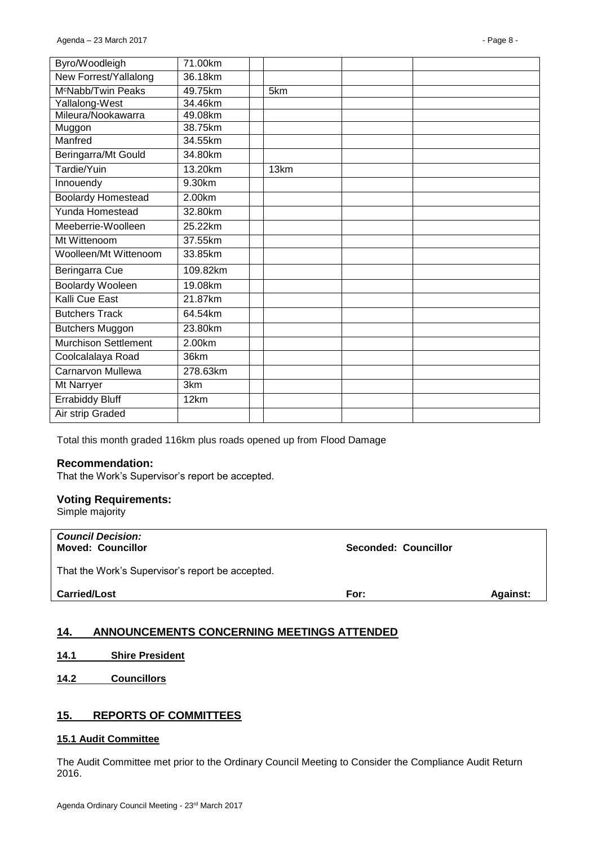| Byro/Woodleigh                 | 71.00km  |      |  |
|--------------------------------|----------|------|--|
| New Forrest/Yallalong          | 36.18km  |      |  |
| M <sup>c</sup> Nabb/Twin Peaks | 49.75km  | 5km  |  |
| Yallalong-West                 | 34.46km  |      |  |
| Mileura/Nookawarra             | 49.08km  |      |  |
| Muggon                         | 38.75km  |      |  |
| Manfred                        | 34.55km  |      |  |
| Beringarra/Mt Gould            | 34.80km  |      |  |
| Tardie/Yuin                    | 13.20km  | 13km |  |
| Innouendy                      | 9.30km   |      |  |
| <b>Boolardy Homestead</b>      | 2.00km   |      |  |
| Yunda Homestead                | 32.80km  |      |  |
| Meeberrie-Woolleen             | 25.22km  |      |  |
| Mt Wittenoom                   | 37.55km  |      |  |
| Woolleen/Mt Wittenoom          | 33.85km  |      |  |
| Beringarra Cue                 | 109.82km |      |  |
| <b>Boolardy Wooleen</b>        | 19.08km  |      |  |
| Kalli Cue East                 | 21.87km  |      |  |
| <b>Butchers Track</b>          | 64.54km  |      |  |
| <b>Butchers Muggon</b>         | 23.80km  |      |  |
| <b>Murchison Settlement</b>    | 2.00km   |      |  |
| Coolcalalaya Road              | 36km     |      |  |
| <b>Carnarvon Mullewa</b>       | 278.63km |      |  |
| Mt Narryer                     | 3km      |      |  |
| <b>Errabiddy Bluff</b>         | 12km     |      |  |
| Air strip Graded               |          |      |  |
|                                |          |      |  |

Total this month graded 116km plus roads opened up from Flood Damage

#### **Recommendation:**

That the Work's Supervisor's report be accepted.

#### **Voting Requirements:**

Simple majority

| <b>Council Decision:</b><br><b>Moved: Councillor</b> | Seconded: Councillor |                 |
|------------------------------------------------------|----------------------|-----------------|
| That the Work's Supervisor's report be accepted.     |                      |                 |
| <b>Carried/Lost</b>                                  | For:                 | <b>Against:</b> |

## <span id="page-7-0"></span>**14. ANNOUNCEMENTS CONCERNING MEETINGS ATTENDED**

- <span id="page-7-1"></span>**14.1 Shire President**
- <span id="page-7-2"></span>**14.2 Councillors**

## <span id="page-7-3"></span>**15. REPORTS OF COMMITTEES**

#### <span id="page-7-4"></span>**15.1 Audit Committee**

The Audit Committee met prior to the Ordinary Council Meeting to Consider the Compliance Audit Return 2016.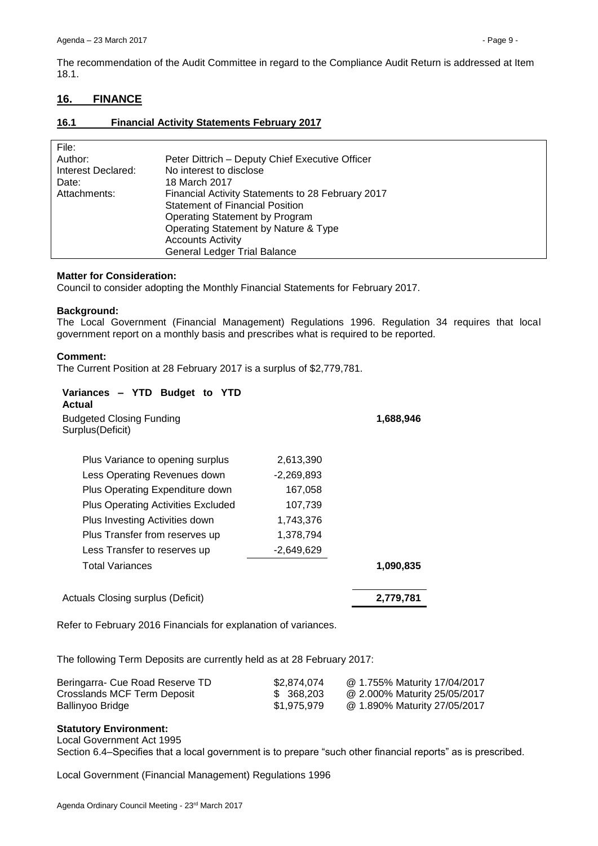The recommendation of the Audit Committee in regard to the Compliance Audit Return is addressed at Item 18.1.

# <span id="page-8-0"></span>**16. FINANCE**

## <span id="page-8-1"></span>**16.1 Financial Activity Statements February 2017**

| File:              |                                                   |
|--------------------|---------------------------------------------------|
| Author:            | Peter Dittrich - Deputy Chief Executive Officer   |
| Interest Declared: | No interest to disclose                           |
| Date:              | 18 March 2017                                     |
| Attachments:       | Financial Activity Statements to 28 February 2017 |
|                    | <b>Statement of Financial Position</b>            |
|                    | Operating Statement by Program                    |
|                    | Operating Statement by Nature & Type              |
|                    | <b>Accounts Activity</b>                          |
|                    | <b>General Ledger Trial Balance</b>               |

## **Matter for Consideration:**

Council to consider adopting the Monthly Financial Statements for February 2017.

#### **Background:**

The Local Government (Financial Management) Regulations 1996. Regulation 34 requires that local government report on a monthly basis and prescribes what is required to be reported.

#### **Comment:**

The Current Position at 28 February 2017 is a surplus of \$2,779,781.

| Variances - YTD Budget to YTD<br>Actual             |              |           |
|-----------------------------------------------------|--------------|-----------|
| <b>Budgeted Closing Funding</b><br>Surplus(Deficit) | 1,688,946    |           |
| Plus Variance to opening surplus                    | 2,613,390    |           |
| Less Operating Revenues down                        | $-2.269.893$ |           |
| Plus Operating Expenditure down                     | 167,058      |           |
| Plus Operating Activities Excluded                  | 107,739      |           |
| Plus Investing Activities down                      | 1,743,376    |           |
| Plus Transfer from reserves up                      | 1,378,794    |           |
| Less Transfer to reserves up                        | $-2,649,629$ |           |
| Total Variances                                     |              | 1,090,835 |
| Actuals Closing surplus (Deficit)                   |              | 2,779,781 |

Refer to February 2016 Financials for explanation of variances.

The following Term Deposits are currently held as at 28 February 2017:

| Beringarra- Cue Road Reserve TD | \$2.874.074 | @ 1.755% Maturity 17/04/2017 |
|---------------------------------|-------------|------------------------------|
| Crosslands MCF Term Deposit     | \$ 368,203  | @ 2.000% Maturity 25/05/2017 |
| Ballinyoo Bridge                | \$1,975,979 | @ 1.890% Maturity 27/05/2017 |

## **Statutory Environment:**

Local Government Act 1995

Section 6.4–Specifies that a local government is to prepare "such other financial reports" as is prescribed.

Local Government (Financial Management) Regulations 1996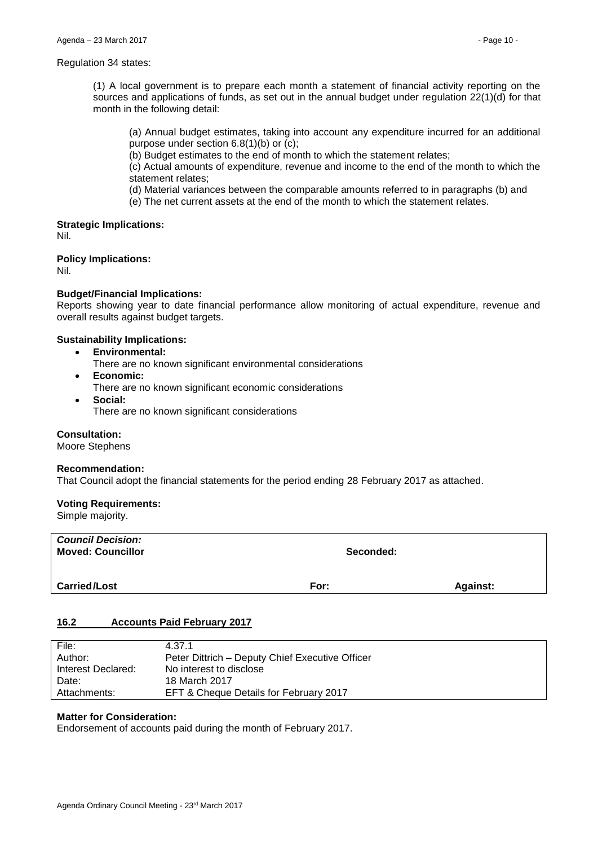#### Regulation 34 states:

(1) A local government is to prepare each month a statement of financial activity reporting on the sources and applications of funds, as set out in the annual budget under regulation 22(1)(d) for that month in the following detail:

(a) Annual budget estimates, taking into account any expenditure incurred for an additional purpose under section 6.8(1)(b) or (c);

(b) Budget estimates to the end of month to which the statement relates;

(c) Actual amounts of expenditure, revenue and income to the end of the month to which the statement relates;

(d) Material variances between the comparable amounts referred to in paragraphs (b) and

(e) The net current assets at the end of the month to which the statement relates.

## **Strategic Implications:**

Nil.

**Policy Implications:** Nil.

#### **Budget/Financial Implications:**

Reports showing year to date financial performance allow monitoring of actual expenditure, revenue and overall results against budget targets.

#### **Sustainability Implications:**

- **Environmental:**
	- There are no known significant environmental considerations
- **Economic:**
	- There are no known significant economic considerations
- **Social:** There are no known significant considerations

#### **Consultation:**

Moore Stephens

#### **Recommendation:**

That Council adopt the financial statements for the period ending 28 February 2017 as attached.

#### **Voting Requirements:**

Simple majority.

| <b>Council Decision:</b><br><b>Moved: Councillor</b> | Seconded: |                 |
|------------------------------------------------------|-----------|-----------------|
| <b>Carried/Lost</b>                                  | For:      | <b>Against:</b> |

## <span id="page-9-0"></span>**16.2 Accounts Paid February 2017**

| File:              | 4.37.1                                          |
|--------------------|-------------------------------------------------|
| Author:            | Peter Dittrich - Deputy Chief Executive Officer |
| Interest Declared: | No interest to disclose                         |
| Date:              | 18 March 2017                                   |
| Attachments:       | EFT & Cheque Details for February 2017          |

## **Matter for Consideration:**

Endorsement of accounts paid during the month of February 2017.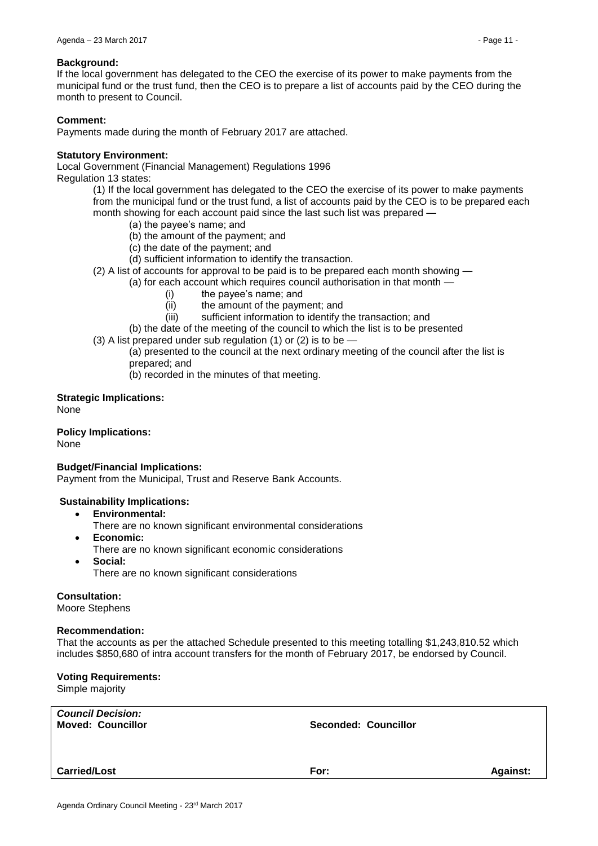#### **Background:**

If the local government has delegated to the CEO the exercise of its power to make payments from the municipal fund or the trust fund, then the CEO is to prepare a list of accounts paid by the CEO during the month to present to Council.

#### **Comment:**

Payments made during the month of February 2017 are attached.

#### **Statutory Environment:**

Local Government (Financial Management) Regulations 1996 Regulation 13 states:

(1) If the local government has delegated to the CEO the exercise of its power to make payments from the municipal fund or the trust fund, a list of accounts paid by the CEO is to be prepared each month showing for each account paid since the last such list was prepared —

- (a) the payee's name; and
- (b) the amount of the payment; and
- (c) the date of the payment; and
- (d) sufficient information to identify the transaction.
- (2) A list of accounts for approval to be paid is to be prepared each month showing —

(a) for each account which requires council authorisation in that month —

- (i) the payee's name; and
- (ii) the amount of the payment; and
- (iii) sufficient information to identify the transaction; and
- (b) the date of the meeting of the council to which the list is to be presented
- (3) A list prepared under sub regulation (1) or (2) is to be —

(a) presented to the council at the next ordinary meeting of the council after the list is prepared; and

(b) recorded in the minutes of that meeting.

**Strategic Implications:** None

**Policy Implications:** None

#### **Budget/Financial Implications:**

Payment from the Municipal, Trust and Reserve Bank Accounts.

#### **Sustainability Implications:**

- **Environmental:**
	- There are no known significant environmental considerations
- **Economic:**
	- There are no known significant economic considerations
- **Social:**
	- There are no known significant considerations

**Consultation:**

Moore Stephens

#### **Recommendation:**

That the accounts as per the attached Schedule presented to this meeting totalling \$1,243,810.52 which includes \$850,680 of intra account transfers for the month of February 2017, be endorsed by Council.

#### **Voting Requirements:**

Simple majority

| <b>Council Decision:</b><br><b>Moved: Councillor</b><br>Seconded: Councillor |      |                 |
|------------------------------------------------------------------------------|------|-----------------|
| <b>Carried/Lost</b>                                                          | For: | <b>Against:</b> |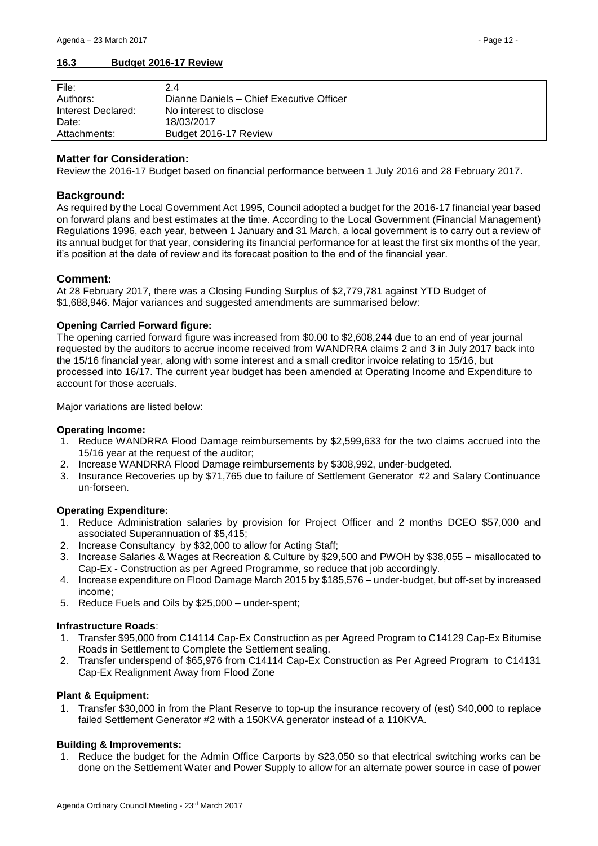## <span id="page-11-0"></span>**16.3 Budget 2016-17 Review**

| File:              | 2.4                                      |
|--------------------|------------------------------------------|
| Authors:           | Dianne Daniels - Chief Executive Officer |
| Interest Declared: | No interest to disclose                  |
| Date:              | 18/03/2017                               |
| Attachments:       | Budget 2016-17 Review                    |

## **Matter for Consideration:**

Review the 2016-17 Budget based on financial performance between 1 July 2016 and 28 February 2017.

## **Background:**

As required by the Local Government Act 1995, Council adopted a budget for the 2016-17 financial year based on forward plans and best estimates at the time. According to the Local Government (Financial Management) Regulations 1996, each year, between 1 January and 31 March, a local government is to carry out a review of its annual budget for that year, considering its financial performance for at least the first six months of the year, it's position at the date of review and its forecast position to the end of the financial year.

#### **Comment:**

At 28 February 2017, there was a Closing Funding Surplus of \$2,779,781 against YTD Budget of \$1,688,946. Major variances and suggested amendments are summarised below:

#### **Opening Carried Forward figure:**

The opening carried forward figure was increased from \$0.00 to \$2,608,244 due to an end of year journal requested by the auditors to accrue income received from WANDRRA claims 2 and 3 in July 2017 back into the 15/16 financial year, along with some interest and a small creditor invoice relating to 15/16, but processed into 16/17. The current year budget has been amended at Operating Income and Expenditure to account for those accruals.

Major variations are listed below:

#### **Operating Income:**

- 1. Reduce WANDRRA Flood Damage reimbursements by \$2,599,633 for the two claims accrued into the 15/16 year at the request of the auditor;
- 2. Increase WANDRRA Flood Damage reimbursements by \$308,992, under-budgeted.
- 3. Insurance Recoveries up by \$71,765 due to failure of Settlement Generator #2 and Salary Continuance un-forseen.

#### **Operating Expenditure:**

- 1. Reduce Administration salaries by provision for Project Officer and 2 months DCEO \$57,000 and associated Superannuation of \$5,415;
- 2. Increase Consultancy by \$32,000 to allow for Acting Staff;
- 3. Increase Salaries & Wages at Recreation & Culture by \$29,500 and PWOH by \$38,055 misallocated to Cap-Ex - Construction as per Agreed Programme, so reduce that job accordingly.
- 4. Increase expenditure on Flood Damage March 2015 by \$185,576 under-budget, but off-set by increased income;
- 5. Reduce Fuels and Oils by \$25,000 under-spent;

#### **Infrastructure Roads**:

- 1. Transfer \$95,000 from C14114 Cap-Ex Construction as per Agreed Program to C14129 Cap-Ex Bitumise Roads in Settlement to Complete the Settlement sealing.
- 2. Transfer underspend of \$65,976 from C14114 Cap-Ex Construction as Per Agreed Program to C14131 Cap-Ex Realignment Away from Flood Zone

#### **Plant & Equipment:**

1. Transfer \$30,000 in from the Plant Reserve to top-up the insurance recovery of (est) \$40,000 to replace failed Settlement Generator #2 with a 150KVA generator instead of a 110KVA.

#### **Building & Improvements:**

1. Reduce the budget for the Admin Office Carports by \$23,050 so that electrical switching works can be done on the Settlement Water and Power Supply to allow for an alternate power source in case of power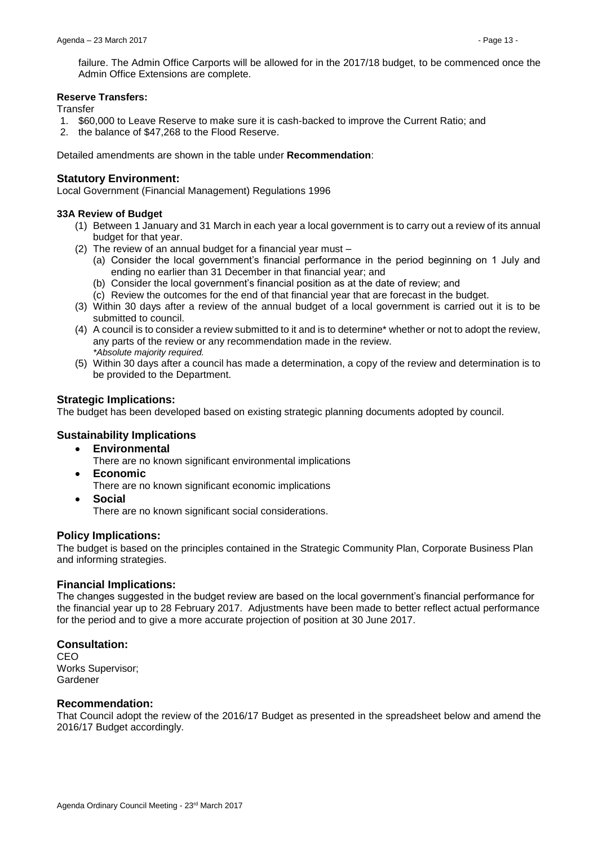failure. The Admin Office Carports will be allowed for in the 2017/18 budget, to be commenced once the Admin Office Extensions are complete.

#### **Reserve Transfers:**

**Transfer** 

- 1. \$60,000 to Leave Reserve to make sure it is cash-backed to improve the Current Ratio; and
- 2. the balance of \$47,268 to the Flood Reserve.

Detailed amendments are shown in the table under **Recommendation**:

## **Statutory Environment:**

Local Government (Financial Management) Regulations 1996

#### **33A Review of Budget**

- (1) Between 1 January and 31 March in each year a local government is to carry out a review of its annual budget for that year.
- (2) The review of an annual budget for a financial year must
	- (a) Consider the local government's financial performance in the period beginning on 1 July and ending no earlier than 31 December in that financial year; and
	- (b) Consider the local government's financial position as at the date of review; and
	- (c) Review the outcomes for the end of that financial year that are forecast in the budget.
- (3) Within 30 days after a review of the annual budget of a local government is carried out it is to be submitted to council.
- (4) A council is to consider a review submitted to it and is to determine\* whether or not to adopt the review, any parts of the review or any recommendation made in the review. *\*Absolute majority required.*
- (5) Within 30 days after a council has made a determination, a copy of the review and determination is to be provided to the Department.

## **Strategic Implications:**

The budget has been developed based on existing strategic planning documents adopted by council.

## **Sustainability Implications**

- **Environmental**
	- There are no known significant environmental implications
- **Economic**
	- There are no known significant economic implications
- **Social** There are no known significant social considerations.

## **Policy Implications:**

The budget is based on the principles contained in the Strategic Community Plan, Corporate Business Plan and informing strategies.

## **Financial Implications:**

The changes suggested in the budget review are based on the local government's financial performance for the financial year up to 28 February 2017. Adjustments have been made to better reflect actual performance for the period and to give a more accurate projection of position at 30 June 2017.

## **Consultation:**

CEO Works Supervisor; Gardener

#### **Recommendation:**

That Council adopt the review of the 2016/17 Budget as presented in the spreadsheet below and amend the 2016/17 Budget accordingly.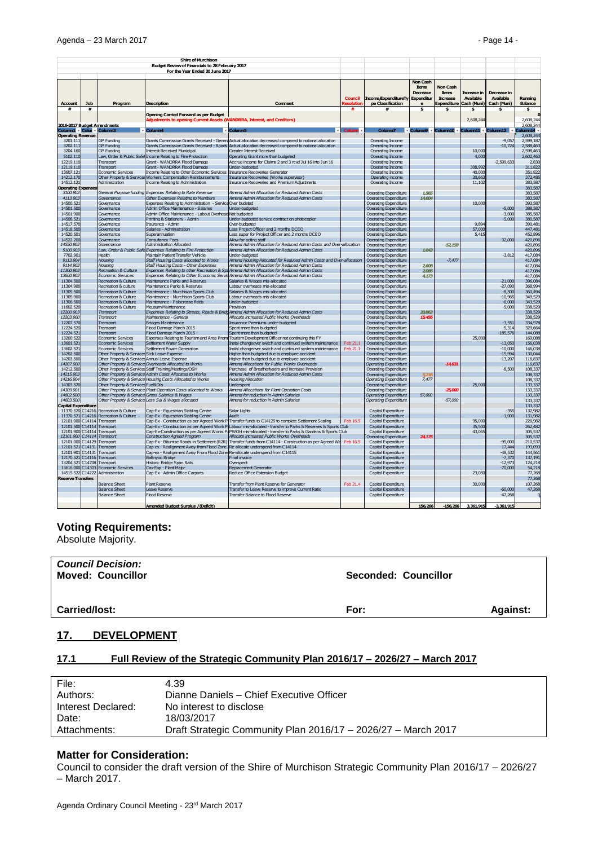|                                      |          |                                                | <b>Shire of Murchison</b>                                                                                                                                    |                                                                                                                                                                                         |                      |                                                |                                     |                          |                   |                        |                           |
|--------------------------------------|----------|------------------------------------------------|--------------------------------------------------------------------------------------------------------------------------------------------------------------|-----------------------------------------------------------------------------------------------------------------------------------------------------------------------------------------|----------------------|------------------------------------------------|-------------------------------------|--------------------------|-------------------|------------------------|---------------------------|
|                                      |          |                                                | Budget Review of Financials to 28 February 2017                                                                                                              |                                                                                                                                                                                         |                      |                                                |                                     |                          |                   |                        |                           |
|                                      |          |                                                | For the Year Ended 30 June 2017                                                                                                                              |                                                                                                                                                                                         |                      |                                                |                                     |                          |                   |                        |                           |
|                                      |          |                                                |                                                                                                                                                              |                                                                                                                                                                                         |                      |                                                | Non Cash<br><b>tems</b><br>Decrease | Non Cash<br><b>tems</b>  | Increase in       | Decrease in            |                           |
|                                      |          |                                                |                                                                                                                                                              |                                                                                                                                                                                         | Council              | Income/ExpenditureTy                           | Expenditur                          | <b>h</b> crease          | Available         | Available              | Running                   |
| <b>Account</b><br>#                  | Job<br># | Program                                        | <b>Description</b>                                                                                                                                           | Comment                                                                                                                                                                                 | #                    | pe Classification<br>#                         | \$                                  | <b>Expenditure</b><br>\$ | Cash (Muni)<br>\$ | Cash (Muni)<br>\$      | <b>Balance</b><br>\$      |
|                                      |          |                                                | <b>Opening Carried Forward as per Budget</b><br>djustments to opening Current Assets (WANDRRA, Interest, and Creditors)                                      |                                                                                                                                                                                         |                      |                                                |                                     |                          | 2,608,244         |                        | $\mathbf{r}$<br>2,608,244 |
| 2016-2017 Budget Amendments          |          |                                                |                                                                                                                                                              |                                                                                                                                                                                         |                      |                                                |                                     |                          |                   |                        | 2,608,244                 |
| Column1 V Colui                      |          | Column3                                        | Column4                                                                                                                                                      | Column <sub>5</sub>                                                                                                                                                                     | Column               |                                                | * Column9                           | Column10                 | Column11          | Column12               | olumn14                   |
| <b>Operating Revenue</b><br>3201.111 |          | <b>GP Funding</b>                              |                                                                                                                                                              | Grants Commission Grants Received - Genera Actual allocation decreased compared to notional allocation                                                                                  |                      | Operating Income                               |                                     |                          |                   | $-9.05$                | 2,608,244<br>2,599,187    |
| 3202.111                             |          | <b>GP Funding</b>                              |                                                                                                                                                              | Grants Commission Grants Received - Roads Actual allocation decreased compared to notional allocation                                                                                   |                      | Operating Income                               |                                     |                          |                   | $-10.724$              | 2.588.463                 |
| 3204.160                             |          | <b>GP Funding</b>                              | <b>Interest Received Municinal</b>                                                                                                                           | Greater Interest Received                                                                                                                                                               |                      | Operating Income                               |                                     |                          | 10,000            |                        | 2,598,463                 |
| 5102.110                             |          | Law, Order & Public Safet                      | Income Relating to Fire Protection                                                                                                                           | Operating Grant more than budgeted                                                                                                                                                      |                      | Operating Income                               |                                     |                          | 4,000             |                        | 2,602,463                 |
| 12219.110                            |          | <b>Transport</b>                               | Grant - WANDRRA Flood Damage                                                                                                                                 | Accrue income for Claims 2 and 3 rcvd Jul 16 into Jun 16                                                                                                                                |                      | Operating Income                               |                                     |                          |                   | $-2,599,633$           | 2,830                     |
| 12119.110<br>13607.121               |          | Transport<br>Economic Services                 | Grant - WANDRRA Flood Damage<br>Income Relating to Other Economic Services                                                                                   | Under-budgeted<br>Insurance Recoveries Generator                                                                                                                                        |                      | Operating Income<br>Operating Income           |                                     |                          | 308,992<br>40,000 |                        | 311.822<br>351,822        |
| 14212.170                            |          |                                                | Other Property & Services Workers Compensation Reimbursements                                                                                                | <b>Insurance Recoveries (Works supervisor)</b>                                                                                                                                          |                      | Operating income                               |                                     |                          | 20.663            |                        | 372,485                   |
| 14512.121                            |          | Administration                                 | Income Relating to Administration                                                                                                                            | <b>Insurance Recoveries and Premium Adjustments</b>                                                                                                                                     |                      | Operating Income                               |                                     |                          | 11,102            |                        | 383,587                   |
| <b>Operating Expense</b>             |          |                                                |                                                                                                                                                              |                                                                                                                                                                                         |                      |                                                |                                     |                          |                   |                        | 383,587                   |
| 3100.903                             |          |                                                | General Purpose funding Expenses Relating to Rate Revenue                                                                                                    | Amend Admin Allocation for Reduced Admin Costs                                                                                                                                          |                      | Operating Expenditure                          | 1.565                               |                          |                   |                        | 383,587                   |
| 4113.903<br>14500.521                |          | Governance                                     | Other Expenses Relating to Members                                                                                                                           | Amend Admin Allocation for Reduced Admin Costs                                                                                                                                          |                      | Operating Expenditure                          | 14,604                              |                          |                   |                        | 383,587                   |
| 14501.500                            |          | Governance<br>Governance                       | Expenses Relating to Administration - Service Over budeted<br>Admin Office Maintenance - Salaries                                                            | Under-budgeted                                                                                                                                                                          |                      | Operating Expenditure<br>Operating Expenditure |                                     |                          | 10,000            | $-5.000$               | 393,587<br>388,587        |
| 14501,900                            |          | Governance                                     | Admin Office Maintenance - Labout Overhead Not budgeted                                                                                                      |                                                                                                                                                                                         |                      | Operating Expenditure                          |                                     |                          |                   | $-3.000$               | 385,587                   |
| 14508.521                            |          | Governance                                     | Printing & Stationery - Admin                                                                                                                                | Under-budgeted service contract on photocopier                                                                                                                                          |                      | Operating Expenditure                          |                                     |                          |                   | $-5.000$               | 380,587                   |
| 14517 570                            |          | Governance                                     | Insurance - Admin                                                                                                                                            | Over-hudgeted                                                                                                                                                                           |                      | Operating Expenditure                          |                                     |                          | 9.89              |                        | 390,481                   |
| 14518.500                            |          | Governance                                     | Salaries - Administration                                                                                                                                    | Less Project Officer and 2 months DCEO                                                                                                                                                  |                      | Operating Expenditure                          |                                     |                          | 57,000            |                        | 447,481                   |
| 14520.501<br>14522.200               |          | Governance<br>Governance                       | Superannuation<br><b>Consultancy Fees</b>                                                                                                                    | Less super for Project Officer and 2 months DCEO<br>Allow for acting staff                                                                                                              |                      | Operating Expenditure<br>Operating Expenditure |                                     |                          | 5.415             | $-32,000$              | 452.896<br>420,896        |
| 14550.903                            |          | Governance                                     | Administration Allocated                                                                                                                                     | Amend Admin Allocation for Reduced Admin Costs and Over-allocation                                                                                                                      |                      | Operating Expenditure                          |                                     | $-52,158$                |                   |                        | 420,896                   |
| 5100.903                             |          |                                                | Law, Order & Public Safe Expenses Relating to Fire Protection                                                                                                | Amend Admin Allocation for Reduced Admin Costs                                                                                                                                          |                      | Operating Expenditure                          | 1043                                |                          |                   |                        | 420,896                   |
| 7702.901                             |          | Health                                         | Maintain Patient Transfer Vehicle                                                                                                                            | Under-budgeted                                                                                                                                                                          |                      | Operating Expenditure                          |                                     |                          |                   | $-3,812$               | 417,084                   |
| 9113.904                             |          | Housina                                        | Staff Housing Costs allocated to Works                                                                                                                       | Amend Housing Allocated for Reduced Admin Costs and Over-allocation                                                                                                                     |                      | Operating Expenditure                          |                                     | $-7.477$                 |                   |                        | 417,084                   |
| 9114.903                             |          | Housing                                        | Staff Housing Costs - Other Expenses                                                                                                                         | Amend Admin Allocation for Reduced Admin Costs                                                                                                                                          |                      | Operating Expenditure                          | 2608                                |                          |                   |                        | 417,084                   |
| 11300.903<br>13600.903               |          | Recreation & Culture<br>Economic Services      |                                                                                                                                                              | Expenses Relating to other Recreation & Spd Amend Admin Allocation for Reduced Admin Costs<br>Expenses Relating to Other Economic Servid Amend Admin Allocation for Reduced Admin Costs |                      | Operating Expenditure<br>Operating Expenditure | 2.086<br>4.173                      |                          |                   |                        | 417,084                   |
| 11304.500                            |          | Recreation & Culture                           | Maintenance Parks and Reserves                                                                                                                               | Salaries & Wages mis-allocated                                                                                                                                                          |                      | Operating Expenditure                          |                                     |                          |                   | $-21.000$              | 417,084<br>396,084        |
| 11304.900                            |          | Recreation & culture                           | Maintenance Parks & Reserves                                                                                                                                 | Labour overheads mis-allocated                                                                                                                                                          |                      | Operating Expenditure                          |                                     |                          |                   | $-27,090$              | 368,994                   |
| 11305.500                            |          | Recreation & Culture                           | Maintenance - Murchison Sports Club                                                                                                                          | Salaries & Wages mis-allocated                                                                                                                                                          |                      | Operating Expenditure                          |                                     |                          |                   | $-8.500$               | 360,494                   |
| 11305,900                            |          | Recreation & Culture                           | Maintenance - Murchison Sports Club                                                                                                                          | Labour overheads mis-allocated                                                                                                                                                          |                      | Operating Expenditure                          |                                     |                          |                   | $-10,965$              | 349,529                   |
| 11306.500                            |          | Recreation & Culture                           | Maintenance - Polocrosse fields                                                                                                                              | Under-budgeted                                                                                                                                                                          |                      | Operating Expenditure                          |                                     |                          |                   | $-6,000$               | 343,529                   |
| 11602.520<br>12200.903               |          | Recreation & Culture<br>Transport              | Meusum Maintenance                                                                                                                                           | Provision<br>Expenses Relating to Streets, Roads & Bridg Amend Admin Allocation for Reduced Admin Costs                                                                                 |                      | Operating Expenditure                          | 20.86                               |                          |                   | $-5,000$               | 338,529<br>338,529        |
| 12203.900                            |          | Transport                                      | Maintenance - General                                                                                                                                        | Allocate increased Public Works Overheads                                                                                                                                               |                      | Operating Expenditure<br>Operating Expenditure | 1545                                |                          |                   |                        | 338,529                   |
| 12207.570                            |          | Transport                                      | <b>Bridges Maintenance</b>                                                                                                                                   | Insurance Premiums under-budgeted                                                                                                                                                       |                      | Operating Expenditure                          |                                     |                          |                   | $-3,551$               | 334,978                   |
| 12224.520                            |          | Transport                                      | <b>Elood Damage March 2015</b>                                                                                                                               | Spent more than budgeted                                                                                                                                                                |                      | Operating Expenditure                          |                                     |                          |                   | $-5.314$               | 329,664                   |
| 12224.521                            |          | <b>Transport</b>                               | Flood Damage March 2015                                                                                                                                      | Spent more than budgeted                                                                                                                                                                |                      | Operating Expenditure                          |                                     |                          |                   | $-185,576$             | 144,088                   |
| 13200.522                            |          | Economic Services                              |                                                                                                                                                              | Expenses Relating to Tourism and Area Prom Tourism Development Officer not continuing this FY                                                                                           |                      | Operating Expenditure                          |                                     |                          | 25,000            |                        | 169,088                   |
| 13601.521<br>13602.521               |          | <b>Economic Services</b><br>Economic Services  | Settlement Water Supply<br>Settlement Power Generation                                                                                                       | Instal changeover switch and continued system maintenance<br>Instal changeover switch and continued system maintenance                                                                  | Feb 21.1<br>Feb 21.1 | Operating Expenditure<br>Operating Expenditure |                                     |                          |                   | $-13,050$<br>$-10,000$ | 156,038<br>146,038        |
| 14202,500                            |          | Other Property & Services Sick Leave Expense   |                                                                                                                                                              | Higher than budgeted due to employee accident                                                                                                                                           |                      | Operating Expenditure                          |                                     |                          |                   | $-15.994$              | 130,044                   |
| 14203.500                            |          | Other Property & Services Annual Leave Expense |                                                                                                                                                              | Higher than budgeted due to employee accident                                                                                                                                           |                      | Operating Expenditure                          |                                     |                          |                   | $-13.207$              | 116,837                   |
| 14207900                             |          |                                                | Other Property & Service Overheads Allocated to Works                                                                                                        | Amend Allocations for Public Works Overheads                                                                                                                                            |                      | Operating Expenditure                          |                                     | $-14631$                 |                   |                        | 116.837                   |
| 14212.500                            |          |                                                | Other Property & Services Staff Training/Meetings/OSH                                                                                                        | Purchase of Breatherlysers and increase Provision                                                                                                                                       |                      | Operating Expenditure                          |                                     |                          |                   | $-8.500$               | 108,337                   |
| 14215.903                            |          |                                                | Other Property & Service Admin Costs Allocated to Works                                                                                                      | Amend Admin Allocation for Reduced Admin Costs                                                                                                                                          |                      | Operating Expenditure                          | 5.21                                |                          |                   |                        | 108,337                   |
| 14216.904<br>14303.520               |          | Other Property & Services Fuel&Oils            | Other Property & Service Housing Costs Allocated to Works                                                                                                    | <b>Housing Allocation</b><br><b>Underspent</b>                                                                                                                                          |                      | Operating Expenditure<br>Operating Expenditure | 7,477                               |                          | 25,000            |                        | 108,337<br>133,337        |
| 14309.901                            |          |                                                | Other Property & Service Plant Operation Costs allocated to Works                                                                                            | Amend Allocations for Plant Operation Costs                                                                                                                                             |                      | Operating Expenditure                          |                                     | $-25,000$                |                   |                        | 133,337                   |
| 14602,500                            |          |                                                | Other Property & Service Gross Salaries & Wages                                                                                                              | Amend for reduction in Admin Salaries                                                                                                                                                   |                      | Operating Expenditure                          | 57,000                              |                          |                   |                        | 133,337                   |
| 14603.500                            |          |                                                | Other Property & Service Less Sal & Wages allocated                                                                                                          | Amend for reduction in Admin Salaries                                                                                                                                                   |                      | <b>Operating Expenditure</b>                   |                                     | $-57,000$                |                   |                        | 133,337                   |
| <b>Capital Expenditure</b>           |          |                                                |                                                                                                                                                              |                                                                                                                                                                                         |                      |                                                |                                     |                          |                   |                        | 133,337                   |
| 11370.520 C14216<br>11370.521 C14216 |          | Recreation & Culture<br>Recreation & Culture   | Cap-Ex - Equestrian Stabling Centre<br>Cap-Ex - Equestrian Stabling Centre                                                                                   | Solar Lights<br>Audit                                                                                                                                                                   |                      | Capital Expenditure                            |                                     |                          |                   | $-355$<br>$-1.000$     | 132,982<br>131,982        |
| 12101.000 C14114                     |          | Transport                                      |                                                                                                                                                              | Cap-Ex - Construction as per Agreed Work P Transfer funds to C14129 to complete Settlement Sealing                                                                                      | Feb 16.5             | Capital Expenditure<br>Canital Expenditure     |                                     |                          | 95,000            |                        | 226,982                   |
| 12101.500 C14114                     |          | Transport                                      |                                                                                                                                                              | Cap-Ex - Construction as per Agreed Work P Labour mis-allocated - transfer to Parks & Reserves & Sports Club                                                                            |                      | Capital Expenditure                            |                                     |                          | 35.500            |                        | 262,482                   |
| 12101.900 C14114                     |          | Transport                                      |                                                                                                                                                              | Cap-Ex-Construction as per Agreed Works PI PWOH mis-allocated - transfer to Parks & Gardens & Sports Club                                                                               |                      | Canital Expenditure                            |                                     |                          | 43.055            |                        | 305,537                   |
| 12101.900 C14114                     |          | Transport                                      | <b>Construction Agreed Program</b>                                                                                                                           | Allocate increased Public Works Overheads                                                                                                                                               |                      | <b>Operating Expenditure</b>                   | 24.17                               |                          |                   |                        | 305,537                   |
| 12101.000 C14129                     |          | Transport                                      |                                                                                                                                                              | Cap-Ex - Biturrise Roads in Settlement (R2R) Transfer funds from C14114 - Construction as per Agreed Wo                                                                                 | Feb 16.5             | Canital Expenditure                            |                                     |                          |                   | $-95,000$              | 210,537                   |
| 12101.521 C14131<br>12101.901 C14131 |          | Transport<br><b>Transport</b>                  | Cap-ex - Realignment Away from Flood Zone Re-allocate underspend from C14114<br>Cap-ex - Realignment Away From Flood Zone Re-allocate underspend from C14115 |                                                                                                                                                                                         |                      | Capital Expenditure<br>Capital Expenditure     |                                     |                          |                   | $-17,444$<br>$-48,532$ | 193,093<br>144,561        |
| 12170.521 C14116                     |          | Transport                                      | Ballinvoo Bridge                                                                                                                                             | Final invoice                                                                                                                                                                           |                      | Capital Expenditure                            |                                     |                          |                   | $-7,370$               | 137,191                   |
| 13204.521 C14708                     |          | Transport                                      | Historic Bridge Span Rails                                                                                                                                   | Overspent                                                                                                                                                                               |                      | Capital Expenditure                            |                                     |                          |                   | $-12,97$               | 124,218                   |
| 13616.000 C14303                     |          | <b>Economic Services</b>                       | Cax-Exp - Plant Major                                                                                                                                        | Replacement Generator                                                                                                                                                                   |                      | Capital Expenditure                            |                                     |                          |                   | $-70.000$              | 54,218                    |
| 14515.522 C14222                     |          | Administration                                 | Cap-Ex - Admin Office Carports                                                                                                                               | Reduce Office Extension Budget                                                                                                                                                          |                      | Capital Expenditure                            |                                     |                          | 23,050            |                        | 77,268                    |
| <b>Reserve Transfers</b>             |          |                                                |                                                                                                                                                              |                                                                                                                                                                                         |                      |                                                |                                     |                          |                   |                        | 77,268                    |
|                                      |          | <b>Balance Sheet</b>                           | Plant Reserve                                                                                                                                                | Transfer from Plant Reserve for Generator                                                                                                                                               | Feb 21.4             | Capital Expenditure                            |                                     |                          | 30,000            |                        | 107,268                   |
|                                      |          | <b>Balance Sheet</b>                           | Leave Reserve                                                                                                                                                | Transfer to Leave Reserve to improve Current Ratio                                                                                                                                      |                      | Capital Expenditure                            |                                     |                          |                   | $-60,000$              | 47,268<br>$\Omega$        |
|                                      |          | <b>Balance Sheet</b>                           | <b>Flood Reserve</b>                                                                                                                                         | Transfer Balance to Flood Reserve                                                                                                                                                       |                      | Capital Expenditure                            |                                     |                          |                   | $-47,268$              |                           |
|                                      |          |                                                | <b>Amended Budget Surplus / (Deficit)</b>                                                                                                                    |                                                                                                                                                                                         |                      |                                                | 156,266                             | $-156,266$               | 3,361,915         | $-3,361,915$           |                           |

## **Voting Requirements:**

Absolute Majority.

| <b>Council Decision:</b><br><b>Moved: Councillor</b> | <b>Seconded: Councillor</b> |                 |
|------------------------------------------------------|-----------------------------|-----------------|
| <b>Carried/lost:</b>                                 | For:                        | <b>Against:</b> |

## <span id="page-13-0"></span>**17. DEVELOPMENT**

#### <span id="page-13-1"></span>**17.1 Full Review of the Strategic Community Plan 2016/17 – 2026/27 – March 2017**

| File:              | 4.39                                                          |
|--------------------|---------------------------------------------------------------|
| Authors:           | Dianne Daniels - Chief Executive Officer                      |
| Interest Declared: | No interest to disclose                                       |
| Date:              | 18/03/2017                                                    |
| Attachments:       | Draft Strategic Community Plan 2016/17 - 2026/27 - March 2017 |
|                    |                                                               |

#### **Matter for Consideration:**

Council to consider the draft version of the Shire of Murchison Strategic Community Plan 2016/17 – 2026/27 – March 2017.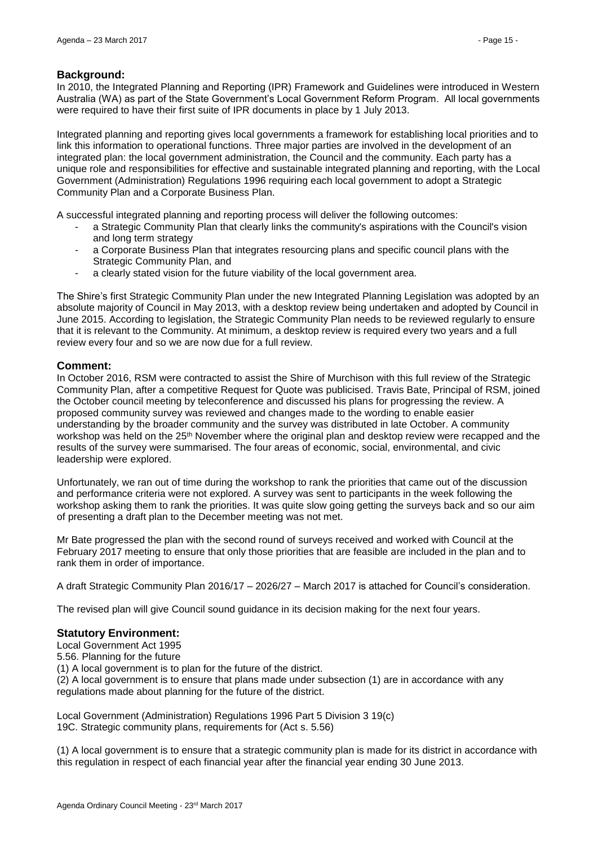## **Background:**

In 2010, the Integrated Planning and Reporting (IPR) Framework and Guidelines were introduced in Western Australia (WA) as part of the State Government's Local Government Reform Program. All local governments were required to have their first suite of IPR documents in place by 1 July 2013.

Integrated planning and reporting gives local governments a framework for establishing local priorities and to link this information to operational functions. Three major parties are involved in the development of an integrated plan: the local government administration, the Council and the community. Each party has a unique role and responsibilities for effective and sustainable integrated planning and reporting, with the Local Government (Administration) Regulations 1996 requiring each local government to adopt a Strategic Community Plan and a Corporate Business Plan.

A successful integrated planning and reporting process will deliver the following outcomes:

- a Strategic Community Plan that clearly links the community's aspirations with the Council's vision and long term strategy
- a Corporate Business Plan that integrates resourcing plans and specific council plans with the Strategic Community Plan, and
- a clearly stated vision for the future viability of the local government area.

The Shire's first Strategic Community Plan under the new Integrated Planning Legislation was adopted by an absolute majority of Council in May 2013, with a desktop review being undertaken and adopted by Council in June 2015. According to legislation, the Strategic Community Plan needs to be reviewed regularly to ensure that it is relevant to the Community. At minimum, a desktop review is required every two years and a full review every four and so we are now due for a full review.

## **Comment:**

In October 2016, RSM were contracted to assist the Shire of Murchison with this full review of the Strategic Community Plan, after a competitive Request for Quote was publicised. Travis Bate, Principal of RSM, joined the October council meeting by teleconference and discussed his plans for progressing the review. A proposed community survey was reviewed and changes made to the wording to enable easier understanding by the broader community and the survey was distributed in late October. A community workshop was held on the 25<sup>th</sup> November where the original plan and desktop review were recapped and the results of the survey were summarised. The four areas of economic, social, environmental, and civic leadership were explored.

Unfortunately, we ran out of time during the workshop to rank the priorities that came out of the discussion and performance criteria were not explored. A survey was sent to participants in the week following the workshop asking them to rank the priorities. It was quite slow going getting the surveys back and so our aim of presenting a draft plan to the December meeting was not met.

Mr Bate progressed the plan with the second round of surveys received and worked with Council at the February 2017 meeting to ensure that only those priorities that are feasible are included in the plan and to rank them in order of importance.

A draft Strategic Community Plan 2016/17 – 2026/27 – March 2017 is attached for Council's consideration.

The revised plan will give Council sound guidance in its decision making for the next four years.

## **Statutory Environment:**

Local Government Act 1995

5.56. Planning for the future (1) A local government is to plan for the future of the district.

(2) A local government is to ensure that plans made under subsection (1) are in accordance with any

regulations made about planning for the future of the district.

Local Government (Administration) Regulations 1996 Part 5 Division 3 19(c) 19C. Strategic community plans, requirements for (Act s. 5.56)

(1) A local government is to ensure that a strategic community plan is made for its district in accordance with this regulation in respect of each financial year after the financial year ending 30 June 2013.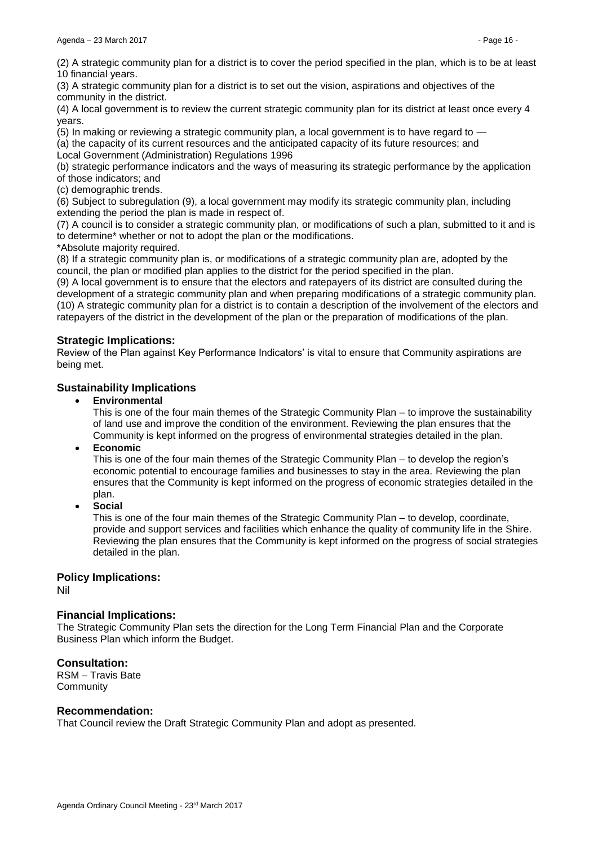(2) A strategic community plan for a district is to cover the period specified in the plan, which is to be at least 10 financial years.

(3) A strategic community plan for a district is to set out the vision, aspirations and objectives of the community in the district.

(4) A local government is to review the current strategic community plan for its district at least once every 4 years.

(5) In making or reviewing a strategic community plan, a local government is to have regard to —

(a) the capacity of its current resources and the anticipated capacity of its future resources; and Local Government (Administration) Regulations 1996

(b) strategic performance indicators and the ways of measuring its strategic performance by the application of those indicators; and

(c) demographic trends.

(6) Subject to subregulation (9), a local government may modify its strategic community plan, including extending the period the plan is made in respect of.

(7) A council is to consider a strategic community plan, or modifications of such a plan, submitted to it and is to determine\* whether or not to adopt the plan or the modifications.

\*Absolute majority required.

(8) If a strategic community plan is, or modifications of a strategic community plan are, adopted by the council, the plan or modified plan applies to the district for the period specified in the plan.

(9) A local government is to ensure that the electors and ratepayers of its district are consulted during the development of a strategic community plan and when preparing modifications of a strategic community plan. (10) A strategic community plan for a district is to contain a description of the involvement of the electors and ratepayers of the district in the development of the plan or the preparation of modifications of the plan.

## **Strategic Implications:**

Review of the Plan against Key Performance Indicators' is vital to ensure that Community aspirations are being met.

## **Sustainability Implications**

**Environmental**

This is one of the four main themes of the Strategic Community Plan – to improve the sustainability of land use and improve the condition of the environment. Reviewing the plan ensures that the Community is kept informed on the progress of environmental strategies detailed in the plan.

**Economic**

This is one of the four main themes of the Strategic Community Plan – to develop the region's economic potential to encourage families and businesses to stay in the area. Reviewing the plan ensures that the Community is kept informed on the progress of economic strategies detailed in the plan.

**Social**

This is one of the four main themes of the Strategic Community Plan – to develop, coordinate, provide and support services and facilities which enhance the quality of community life in the Shire. Reviewing the plan ensures that the Community is kept informed on the progress of social strategies detailed in the plan.

## **Policy Implications:**

Nil

## **Financial Implications:**

The Strategic Community Plan sets the direction for the Long Term Financial Plan and the Corporate Business Plan which inform the Budget.

## **Consultation:**

RSM – Travis Bate **Community** 

## **Recommendation:**

That Council review the Draft Strategic Community Plan and adopt as presented.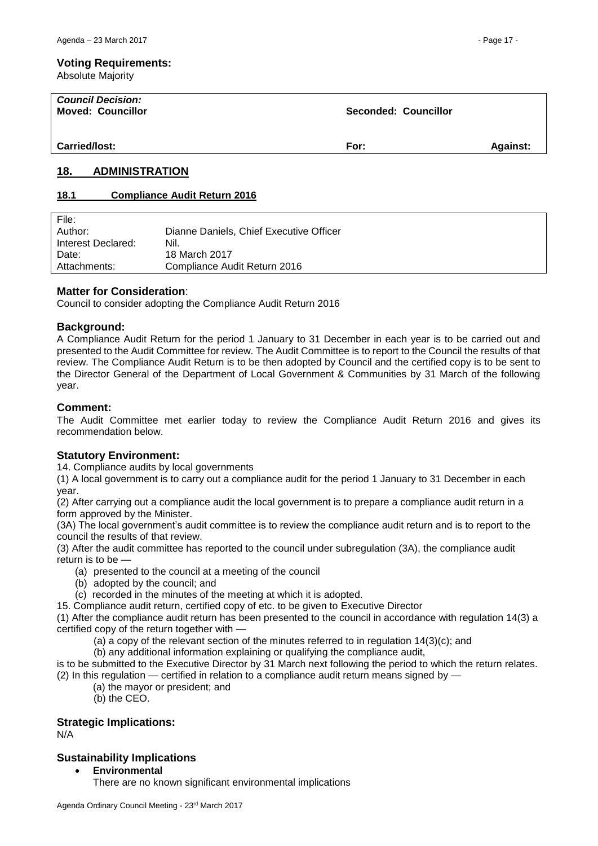Absolute Majority

| <b>Council Decision:</b><br><b>Moved: Councillor</b> | Seconded: Councillor |                 |
|------------------------------------------------------|----------------------|-----------------|
| Carried/lost:                                        | For:                 | <b>Against:</b> |

## <span id="page-16-0"></span>**18. ADMINISTRATION**

## <span id="page-16-1"></span>**18.1 Compliance Audit Return 2016**

| File:              |                                         |
|--------------------|-----------------------------------------|
| Author:            | Dianne Daniels, Chief Executive Officer |
| Interest Declared: | Nil.                                    |
| Date:              | 18 March 2017                           |
| Attachments:       | Compliance Audit Return 2016            |
|                    |                                         |

## **Matter for Consideration**:

Council to consider adopting the Compliance Audit Return 2016

## **Background:**

A Compliance Audit Return for the period 1 January to 31 December in each year is to be carried out and presented to the Audit Committee for review. The Audit Committee is to report to the Council the results of that review. The Compliance Audit Return is to be then adopted by Council and the certified copy is to be sent to the Director General of the Department of Local Government & Communities by 31 March of the following year.

## **Comment:**

The Audit Committee met earlier today to review the Compliance Audit Return 2016 and gives its recommendation below.

## **Statutory Environment:**

14. Compliance audits by local governments

(1) A local government is to carry out a compliance audit for the period 1 January to 31 December in each year.

(2) After carrying out a compliance audit the local government is to prepare a compliance audit return in a form approved by the Minister.

(3A) The local government's audit committee is to review the compliance audit return and is to report to the council the results of that review.

(3) After the audit committee has reported to the council under subregulation (3A), the compliance audit return is to be —

- (a) presented to the council at a meeting of the council
- (b) adopted by the council; and
- (c) recorded in the minutes of the meeting at which it is adopted.
- 15. Compliance audit return, certified copy of etc. to be given to Executive Director

(1) After the compliance audit return has been presented to the council in accordance with regulation 14(3) a certified copy of the return together with -

(a) a copy of the relevant section of the minutes referred to in regulation  $14(3)(c)$ ; and

(b) any additional information explaining or qualifying the compliance audit,

is to be submitted to the Executive Director by 31 March next following the period to which the return relates.

(2) In this regulation — certified in relation to a compliance audit return means signed by —

(a) the mayor or president; and

(b) the CEO.

## **Strategic Implications:**

N/A

## **Sustainability Implications**

- **Environmental**
	- There are no known significant environmental implications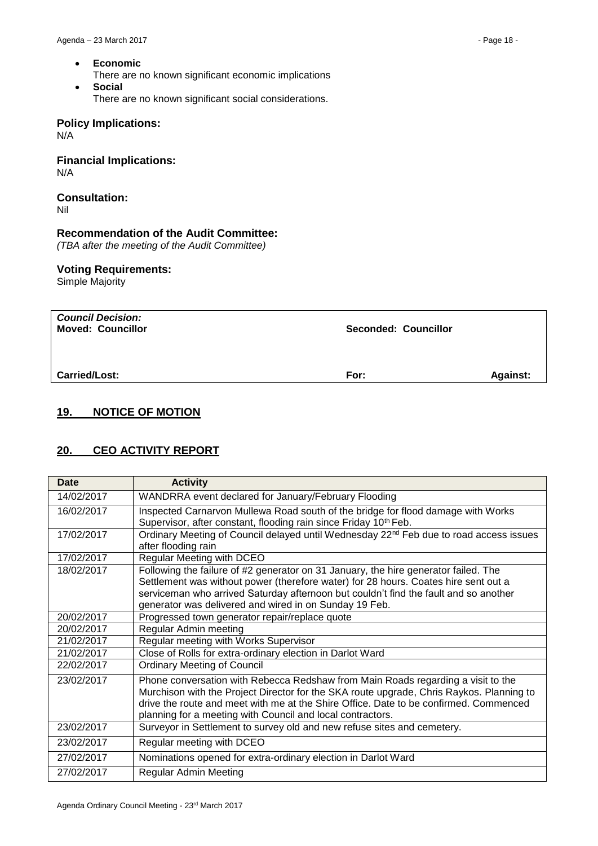- **Economic**
	- There are no known significant economic implications
- **Social** There are no known significant social considerations.

## **Policy Implications:**

N/A

**Financial Implications:** N/A

# **Consultation:**

Nil

## **Recommendation of the Audit Committee:**

*(TBA after the meeting of the Audit Committee)*

## **Voting Requirements:**

Simple Majority

| <b>Council Decision:</b><br><b>Moved: Councillor</b> | <b>Seconded: Councillor</b> |                 |
|------------------------------------------------------|-----------------------------|-----------------|
| <b>Carried/Lost:</b>                                 | For:                        | <b>Against:</b> |

# <span id="page-17-0"></span>**19. NOTICE OF MOTION**

## <span id="page-17-1"></span>**20. CEO ACTIVITY REPORT**

| <b>Date</b> | <b>Activity</b>                                                                                                                                                                                                                                                                                                                     |
|-------------|-------------------------------------------------------------------------------------------------------------------------------------------------------------------------------------------------------------------------------------------------------------------------------------------------------------------------------------|
| 14/02/2017  | WANDRRA event declared for January/February Flooding                                                                                                                                                                                                                                                                                |
| 16/02/2017  | Inspected Carnarvon Mullewa Road south of the bridge for flood damage with Works<br>Supervisor, after constant, flooding rain since Friday 10 <sup>th</sup> Feb.                                                                                                                                                                    |
| 17/02/2017  | Ordinary Meeting of Council delayed until Wednesday 22 <sup>nd</sup> Feb due to road access issues<br>after flooding rain                                                                                                                                                                                                           |
| 17/02/2017  | Regular Meeting with DCEO                                                                                                                                                                                                                                                                                                           |
| 18/02/2017  | Following the failure of #2 generator on 31 January, the hire generator failed. The<br>Settlement was without power (therefore water) for 28 hours. Coates hire sent out a<br>serviceman who arrived Saturday afternoon but couldn't find the fault and so another<br>generator was delivered and wired in on Sunday 19 Feb.        |
| 20/02/2017  | Progressed town generator repair/replace quote                                                                                                                                                                                                                                                                                      |
| 20/02/2017  | Regular Admin meeting                                                                                                                                                                                                                                                                                                               |
| 21/02/2017  | Regular meeting with Works Supervisor                                                                                                                                                                                                                                                                                               |
| 21/02/2017  | Close of Rolls for extra-ordinary election in Darlot Ward                                                                                                                                                                                                                                                                           |
| 22/02/2017  | <b>Ordinary Meeting of Council</b>                                                                                                                                                                                                                                                                                                  |
| 23/02/2017  | Phone conversation with Rebecca Redshaw from Main Roads regarding a visit to the<br>Murchison with the Project Director for the SKA route upgrade, Chris Raykos. Planning to<br>drive the route and meet with me at the Shire Office. Date to be confirmed. Commenced<br>planning for a meeting with Council and local contractors. |
| 23/02/2017  | Surveyor in Settlement to survey old and new refuse sites and cemetery.                                                                                                                                                                                                                                                             |
| 23/02/2017  | Regular meeting with DCEO                                                                                                                                                                                                                                                                                                           |
| 27/02/2017  | Nominations opened for extra-ordinary election in Darlot Ward                                                                                                                                                                                                                                                                       |
| 27/02/2017  | <b>Regular Admin Meeting</b>                                                                                                                                                                                                                                                                                                        |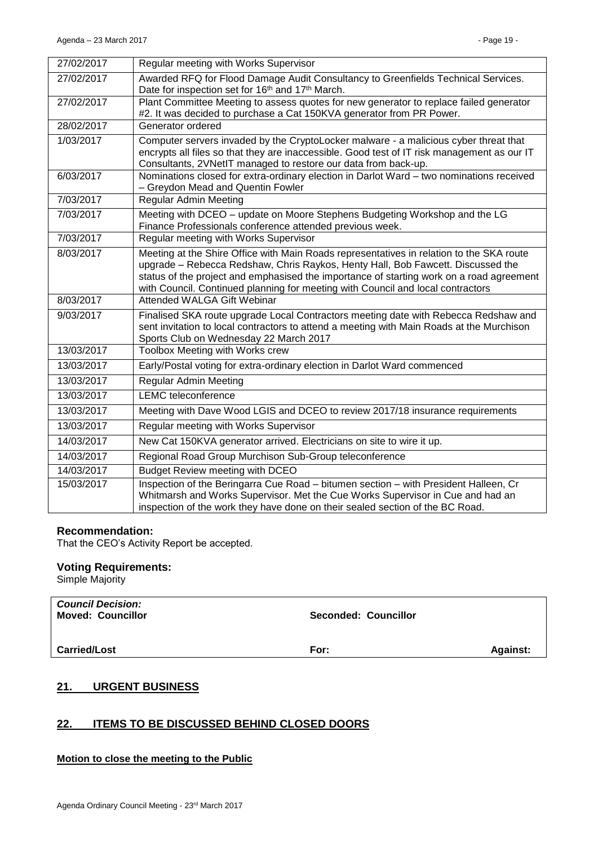| 27/02/2017 | Regular meeting with Works Supervisor                                                                                                                                                                                                                                                                                                                      |
|------------|------------------------------------------------------------------------------------------------------------------------------------------------------------------------------------------------------------------------------------------------------------------------------------------------------------------------------------------------------------|
| 27/02/2017 | Awarded RFQ for Flood Damage Audit Consultancy to Greenfields Technical Services.<br>Date for inspection set for 16 <sup>th</sup> and 17 <sup>th</sup> March.                                                                                                                                                                                              |
| 27/02/2017 | Plant Committee Meeting to assess quotes for new generator to replace failed generator<br>#2. It was decided to purchase a Cat 150KVA generator from PR Power.                                                                                                                                                                                             |
| 28/02/2017 | Generator ordered                                                                                                                                                                                                                                                                                                                                          |
| 1/03/2017  | Computer servers invaded by the CryptoLocker malware - a malicious cyber threat that<br>encrypts all files so that they are inaccessible. Good test of IT risk management as our IT<br>Consultants, 2VNetIT managed to restore our data from back-up.                                                                                                      |
| 6/03/2017  | Nominations closed for extra-ordinary election in Darlot Ward - two nominations received<br>- Greydon Mead and Quentin Fowler                                                                                                                                                                                                                              |
| 7/03/2017  | <b>Regular Admin Meeting</b>                                                                                                                                                                                                                                                                                                                               |
| 7/03/2017  | Meeting with DCEO - update on Moore Stephens Budgeting Workshop and the LG<br>Finance Professionals conference attended previous week.                                                                                                                                                                                                                     |
| 7/03/2017  | Regular meeting with Works Supervisor                                                                                                                                                                                                                                                                                                                      |
| 8/03/2017  | Meeting at the Shire Office with Main Roads representatives in relation to the SKA route<br>upgrade - Rebecca Redshaw, Chris Raykos, Henty Hall, Bob Fawcett. Discussed the<br>status of the project and emphasised the importance of starting work on a road agreement<br>with Council. Continued planning for meeting with Council and local contractors |
| 8/03/2017  | Attended WALGA Gift Webinar                                                                                                                                                                                                                                                                                                                                |
| 9/03/2017  | Finalised SKA route upgrade Local Contractors meeting date with Rebecca Redshaw and<br>sent invitation to local contractors to attend a meeting with Main Roads at the Murchison<br>Sports Club on Wednesday 22 March 2017                                                                                                                                 |
| 13/03/2017 | Toolbox Meeting with Works crew                                                                                                                                                                                                                                                                                                                            |
| 13/03/2017 | Early/Postal voting for extra-ordinary election in Darlot Ward commenced                                                                                                                                                                                                                                                                                   |
| 13/03/2017 | <b>Regular Admin Meeting</b>                                                                                                                                                                                                                                                                                                                               |
| 13/03/2017 | <b>LEMC</b> teleconference                                                                                                                                                                                                                                                                                                                                 |
| 13/03/2017 | Meeting with Dave Wood LGIS and DCEO to review 2017/18 insurance requirements                                                                                                                                                                                                                                                                              |
| 13/03/2017 | Regular meeting with Works Supervisor                                                                                                                                                                                                                                                                                                                      |
| 14/03/2017 | New Cat 150KVA generator arrived. Electricians on site to wire it up.                                                                                                                                                                                                                                                                                      |
| 14/03/2017 | Regional Road Group Murchison Sub-Group teleconference                                                                                                                                                                                                                                                                                                     |
| 14/03/2017 | Budget Review meeting with DCEO                                                                                                                                                                                                                                                                                                                            |
| 15/03/2017 | Inspection of the Beringarra Cue Road - bitumen section - with President Halleen, Cr<br>Whitmarsh and Works Supervisor. Met the Cue Works Supervisor in Cue and had an<br>inspection of the work they have done on their sealed section of the BC Road.                                                                                                    |

## **Recommendation:**

That the CEO's Activity Report be accepted.

## **Voting Requirements:**

Simple Majority

| <b>Council Decision:</b><br><b>Moved: Councillor</b> | <b>Seconded: Councillor</b> |                 |
|------------------------------------------------------|-----------------------------|-----------------|
| <b>Carried/Lost</b>                                  | For:                        | <b>Against:</b> |

# <span id="page-18-0"></span>**21. URGENT BUSINESS**

## <span id="page-18-1"></span>**22. ITEMS TO BE DISCUSSED BEHIND CLOSED DOORS**

#### **Motion to close the meeting to the Public**